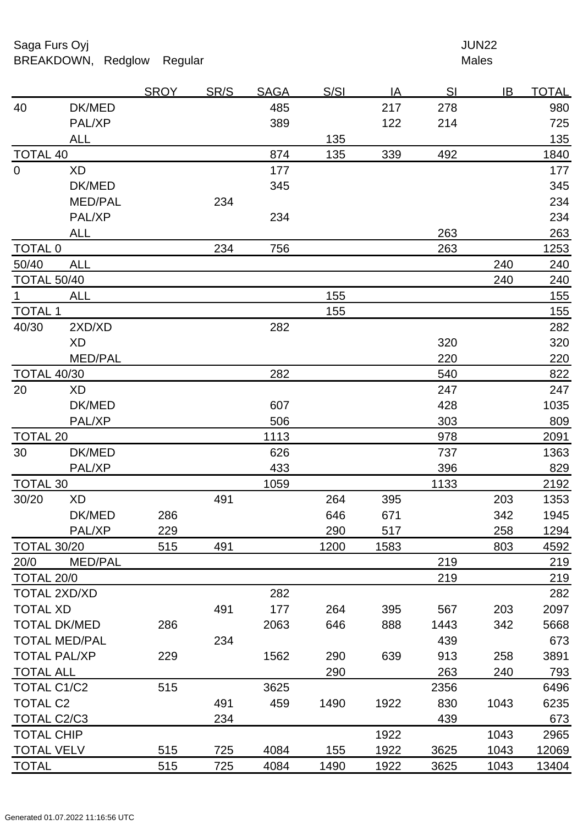Saga Furs Oyj and the Saga Furs Oyj and the Saga Furs of the Saga Furs of the Saga Furs of the Saga Furs of the Saga Furs of the Saga Furs of the Saga Furs of the Saga Furs of the Saga Furs of the Saga Furs of the Saga Fur BREAKDOWN, Redglow Regular Males

|                      |                     | <b>SROY</b> | <u>SR/S</u> | <b>SAGA</b> | <u>S/SI</u> | <u>IA</u> | <u>SI</u> | IB   | <u>TOTAL</u> |
|----------------------|---------------------|-------------|-------------|-------------|-------------|-----------|-----------|------|--------------|
| 40                   | DK/MED              |             |             | 485         |             | 217       | 278       |      | 980          |
|                      | PAL/XP              |             |             | 389         |             | 122       | 214       |      | 725          |
|                      | <b>ALL</b>          |             |             |             | 135         |           |           |      | 135          |
| <b>TOTAL 40</b>      |                     |             |             | 874         | 135         | 339       | 492       |      | 1840         |
| $\mathbf 0$          | <b>XD</b>           |             |             | 177         |             |           |           |      | 177          |
|                      | DK/MED              |             |             | 345         |             |           |           |      | 345          |
|                      | <b>MED/PAL</b>      |             | 234         |             |             |           |           |      | 234          |
|                      | PAL/XP              |             |             | 234         |             |           |           |      | 234          |
|                      | <b>ALL</b>          |             |             |             |             |           | 263       |      | 263          |
| <b>TOTAL 0</b>       |                     |             | 234         | 756         |             |           | 263       |      | 1253         |
| 50/40                | <b>ALL</b>          |             |             |             |             |           |           | 240  | 240          |
| <b>TOTAL 50/40</b>   |                     |             |             |             |             |           |           | 240  | 240          |
| $\mathbf 1$          | <b>ALL</b>          |             |             |             | 155         |           |           |      | 155          |
| <b>TOTAL 1</b>       |                     |             |             |             | 155         |           |           |      | 155          |
| 40/30                | 2XD/XD              |             |             | 282         |             |           |           |      | 282          |
|                      | XD                  |             |             |             |             |           | 320       |      | 320          |
|                      | MED/PAL             |             |             |             |             |           | 220       |      | 220          |
| <b>TOTAL 40/30</b>   |                     |             |             | 282         |             |           | 540       |      | 822          |
| 20                   | XD                  |             |             |             |             |           | 247       |      | 247          |
|                      | DK/MED              |             |             | 607         |             |           | 428       |      | 1035         |
|                      | PAL/XP              |             |             | 506         |             |           | 303       |      | 809          |
| <b>TOTAL 20</b>      |                     |             |             | 1113        |             |           | 978       |      | 2091         |
| 30                   | DK/MED              |             |             | 626         |             |           | 737       |      | 1363         |
|                      | PAL/XP              |             |             | 433         |             |           | 396       |      | 829          |
| <b>TOTAL 30</b>      |                     |             |             | 1059        |             |           | 1133      |      | 2192         |
| 30/20                | XD                  |             | 491         |             | 264         | 395       |           | 203  | 1353         |
|                      | DK/MED              | 286         |             |             | 646         | 671       |           | 342  | 1945         |
|                      | PAL/XP              | 229         |             |             | 290         | 517       |           | 258  | 1294         |
| <b>TOTAL 30/20</b>   |                     | 515         | 491         |             | 1200        | 1583      |           | 803  | 4592         |
| 20/0                 | <b>MED/PAL</b>      |             |             |             |             |           | 219       |      | 219          |
| TOTAL 20/0           |                     |             |             |             |             |           | 219       |      | 219          |
| TOTAL 2XD/XD         |                     |             |             | 282         |             |           |           |      | 282          |
| <b>TOTAL XD</b>      |                     |             | 491         | 177         | 264         | 395       | 567       | 203  | 2097         |
|                      | <b>TOTAL DK/MED</b> | 286         |             | 2063        | 646         | 888       | 1443      | 342  | 5668         |
| <b>TOTAL MED/PAL</b> |                     |             | 234         |             |             |           | 439       |      | 673          |
| <b>TOTAL PAL/XP</b>  |                     | 229         |             | 1562        | 290         | 639       | 913       | 258  | 3891         |
| <b>TOTAL ALL</b>     |                     |             |             |             | 290         |           | 263       | 240  | 793          |
| TOTAL C1/C2          |                     | 515         |             | 3625        |             |           | 2356      |      | 6496         |
| <b>TOTAL C2</b>      |                     |             | 491         | 459         | 1490        | 1922      | 830       | 1043 | 6235         |
| TOTAL C2/C3          |                     |             | 234         |             |             |           | 439       |      | 673          |
| <b>TOTAL CHIP</b>    |                     |             |             |             |             | 1922      |           | 1043 | 2965         |
| <b>TOTAL VELV</b>    |                     | 515         | 725         | 4084        | 155         | 1922      | 3625      | 1043 | 12069        |
| <b>TOTAL</b>         |                     | 515         | 725         | 4084        | 1490        | 1922      | 3625      | 1043 | 13404        |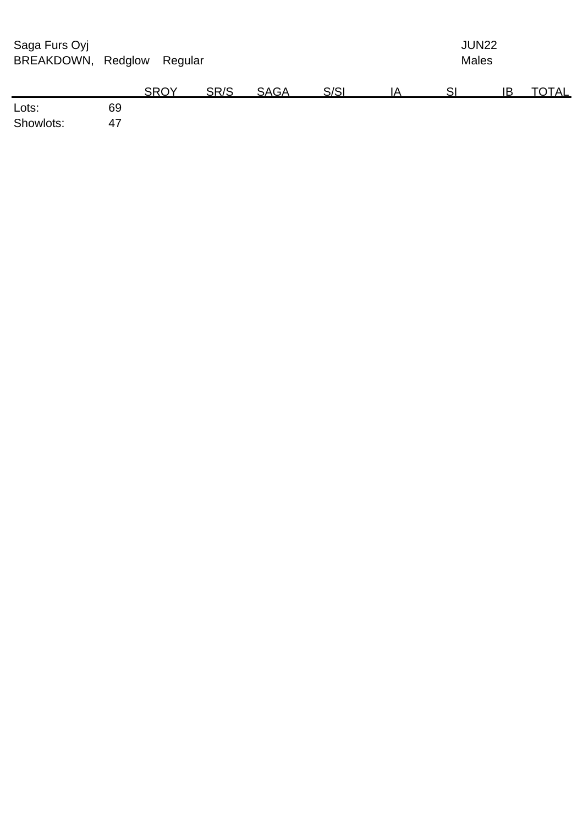| Saga Furs Oyj<br>BREAKDOWN, Redglow |    | Regular     |      |             |      | <b>JUN22</b><br><b>Males</b> |    |    |       |  |
|-------------------------------------|----|-------------|------|-------------|------|------------------------------|----|----|-------|--|
|                                     |    | <b>SROY</b> | SR/S | <b>SAGA</b> | S/SI | ΙA                           | SI | ΙB | TOTAL |  |
| Lots:                               | 69 |             |      |             |      |                              |    |    |       |  |
| Showlots:                           | 47 |             |      |             |      |                              |    |    |       |  |